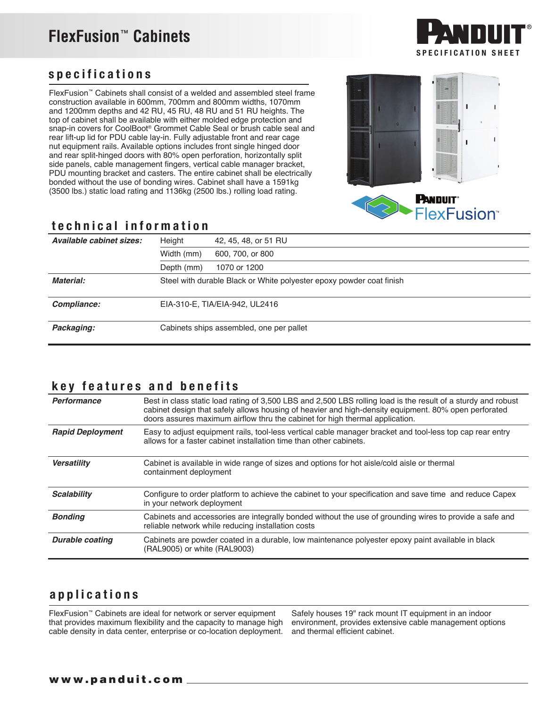# **FlexFusion**™ **Cabinets**



### specifications

FlexFusion™ Cabinets shall consist of a welded and assembled steel frame construction available in 600mm, 700mm and 800mm widths, 1070mm and 1200mm depths and 42 RU, 45 RU, 48 RU and 51 RU heights. The top of cabinet shall be available with either molded edge protection and snap-in covers for CoolBoot® Grommet Cable Seal or brush cable seal and rear lift-up lid for PDU cable lay-in. Fully adjustable front and rear cage nut equipment rails. Available options includes front single hinged door and rear split-hinged doors with 80% open perforation, horizontally split side panels, cable management fingers, vertical cable manager bracket, PDU mounting bracket and casters. The entire cabinet shall be electrically bonded without the use of bonding wires. Cabinet shall have a 1591kg (3500 lbs.) static load rating and 1136kg (2500 lbs.) rolling load rating.



**FlexFusion** 

#### technical information

| Available cabinet sizes: | Height     | 42, 45, 48, or 51 RU                                                 |
|--------------------------|------------|----------------------------------------------------------------------|
|                          | Width (mm) | 600, 700, or 800                                                     |
|                          | Depth (mm) | 1070 or 1200                                                         |
| Material:                |            | Steel with durable Black or White polyester epoxy powder coat finish |
| Compliance:              |            | EIA-310-E, TIA/EIA-942, UL2416                                       |
| Packaging:               |            | Cabinets ships assembled, one per pallet                             |

#### key features and benefits

| Performance             | Best in class static load rating of 3,500 LBS and 2,500 LBS rolling load is the result of a sturdy and robust<br>cabinet design that safely allows housing of heavier and high-density equipment. 80% open perforated<br>doors assures maximum airflow thru the cabinet for high thermal application. |
|-------------------------|-------------------------------------------------------------------------------------------------------------------------------------------------------------------------------------------------------------------------------------------------------------------------------------------------------|
| <b>Rapid Deployment</b> | Easy to adjust equipment rails, tool-less vertical cable manager bracket and tool-less top cap rear entry<br>allows for a faster cabinet installation time than other cabinets.                                                                                                                       |
| <b>Versatility</b>      | Cabinet is available in wide range of sizes and options for hot aisle/cold aisle or thermal<br>containment deployment                                                                                                                                                                                 |
| <b>Scalability</b>      | Configure to order platform to achieve the cabinet to your specification and save time and reduce Capex<br>in your network deployment                                                                                                                                                                 |
| <b>Bonding</b>          | Cabinets and accessories are integrally bonded without the use of grounding wires to provide a safe and<br>reliable network while reducing installation costs                                                                                                                                         |
| <b>Durable coating</b>  | Cabinets are powder coated in a durable, low maintenance polyester epoxy paint available in black<br>(RAL9005) or white (RAL9003)                                                                                                                                                                     |

### applications

FlexFusion™ Cabinets are ideal for network or server equipment that provides maximum flexibility and the capacity to manage high cable density in data center, enterprise or co-location deployment.

Safely houses 19" rack mount IT equipment in an indoor environment, provides extensive cable management options and thermal efficient cabinet.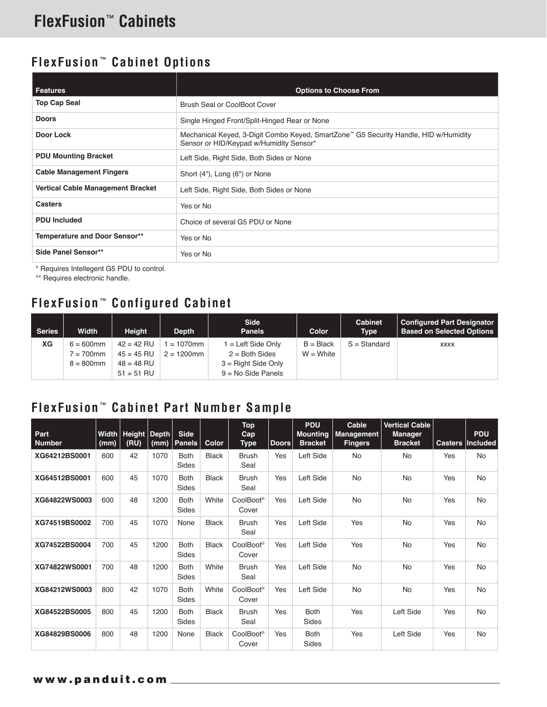## **FlexFusion** ™ **Cabinet Options**

| Features                             | <b>Options to Choose From</b>                                                                                                   |
|--------------------------------------|---------------------------------------------------------------------------------------------------------------------------------|
| <b>Top Cap Seal</b>                  | Brush Seal or CoolBoot Cover                                                                                                    |
| <b>Doors</b>                         | Single Hinged Front/Split-Hinged Rear or None                                                                                   |
| Door Lock                            | Mechanical Keyed, 3-Digit Combo Keyed, SmartZone™ G5 Security Handle, HID w/Humidity<br>Sensor or HID/Keypad w/Humidity Sensor* |
| <b>PDU Mounting Bracket</b>          | Left Side, Right Side, Both Sides or None                                                                                       |
| <b>Cable Management Fingers</b>      | Short (4"), Long (6") or None                                                                                                   |
| Vertical Cable Management Bracket    | Left Side, Right Side, Both Sides or None                                                                                       |
| <b>Casters</b>                       | Yes or No                                                                                                                       |
| <b>PDU Included</b>                  | Choice of several G5 PDU or None                                                                                                |
| <b>Temperature and Door Sensor**</b> | Yes or No                                                                                                                       |
| Side Panel Sensor**                  | Yes or No                                                                                                                       |

\* Requires Intellegent G5 PDU to control.

\*\* Requires electronic handle.

# **FlexFusion** ™ **Configured Cabinet**

| <b>Series</b> | Width                        | <b>Height</b>                | <b>Depth</b>                 | <b>Side</b><br><b>Panels</b>                  | <b>Color</b>               | Cabinet<br><b>Type</b> | <b>Configured Part Designator</b><br><b>Based on Selected Options</b> |
|---------------|------------------------------|------------------------------|------------------------------|-----------------------------------------------|----------------------------|------------------------|-----------------------------------------------------------------------|
| ХG            | $6 = 600$ mm<br>$7 = 700$ mm | $42 = 42$ RU<br>$45 = 45$ RU | $= 1070$ mm<br>$2 = 1200$ mm | l = Left Side Only<br>$2 =$ Both Sides        | $B = Black$<br>$W = White$ | $S = Standard$         | <b>XXXX</b>                                                           |
|               | $8 = 800$ mm                 | $48 = 48$ RU<br>$51 = 51$ RU |                              | $3 =$ Right Side Only<br>$9 = No$ Side Panels |                            |                        |                                                                       |

### **FlexFusion** ™ **Cabinet Part Number Sample**

| Part<br><b>Number</b> | (mm) | Width   Height   Depth<br>(RU) | (mm) | <b>Side</b><br><b>Panels</b> | Color        | <b>Top</b><br>Cap<br>Type      | <b>Doors</b> | <b>PDU</b><br><b>Mounting</b><br><b>Bracket</b> | Cable<br><b>Management</b><br><b>Fingers</b> | <b>Vertical Cable</b><br><b>Manager</b><br><b>Bracket</b> | <b>Casters</b> | <b>PDU</b><br>Included |
|-----------------------|------|--------------------------------|------|------------------------------|--------------|--------------------------------|--------------|-------------------------------------------------|----------------------------------------------|-----------------------------------------------------------|----------------|------------------------|
| XG64212BS0001         | 600  | 42                             | 1070 | <b>Both</b><br>Sides         | <b>Black</b> | <b>Brush</b><br>Seal           | Yes          | Left Side                                       | No                                           | <b>No</b>                                                 | Yes            | No                     |
| XG64512BS0001         | 600  | 45                             | 1070 | <b>Both</b><br>Sides         | <b>Black</b> | <b>Brush</b><br>Seal           | Yes          | Left Side                                       | <b>No</b>                                    | No                                                        | Yes            | <b>No</b>              |
| XG64822WS0003         | 600  | 48                             | 1200 | <b>Both</b><br>Sides         | White        | CoolBoot <sup>®</sup><br>Cover | Yes          | Left Side                                       | <b>No</b>                                    | <b>No</b>                                                 | Yes            | <b>No</b>              |
| XG74519BS0002         | 700  | 45                             | 1070 | None                         | <b>Black</b> | <b>Brush</b><br>Seal           | Yes          | Left Side                                       | Yes                                          | <b>No</b>                                                 | Yes            | <b>No</b>              |
| XG74522BS0004         | 700  | 45                             | 1200 | <b>Both</b><br>Sides         | Black        | CoolBoot®<br>Cover             | Yes          | Left Side                                       | Yes                                          | <b>No</b>                                                 | Yes            | <b>No</b>              |
| XG74822WS0001         | 700  | 48                             | 1200 | <b>Both</b><br>Sides         | White        | <b>Brush</b><br>Seal           | Yes          | Left Side                                       | <b>No</b>                                    | No                                                        | Yes            | <b>No</b>              |
| XG84212WS0003         | 800  | 42                             | 1070 | <b>Both</b><br>Sides         | White        | CoolBoot®<br>Cover             | Yes          | Left Side                                       | <b>No</b>                                    | No                                                        | Yes            | <b>No</b>              |
| XG84522BS0005         | 800  | 45                             | 1200 | <b>Both</b><br>Sides         | <b>Black</b> | <b>Brush</b><br>Seal           | Yes          | <b>Both</b><br>Sides                            | Yes                                          | Left Side                                                 | Yes            | <b>No</b>              |
| XG84829BS0006         | 800  | 48                             | 1200 | None                         | <b>Black</b> | CoolBoot®<br>Cover             | Yes          | <b>Both</b><br>Sides                            | Yes                                          | Left Side                                                 | Yes            | <b>No</b>              |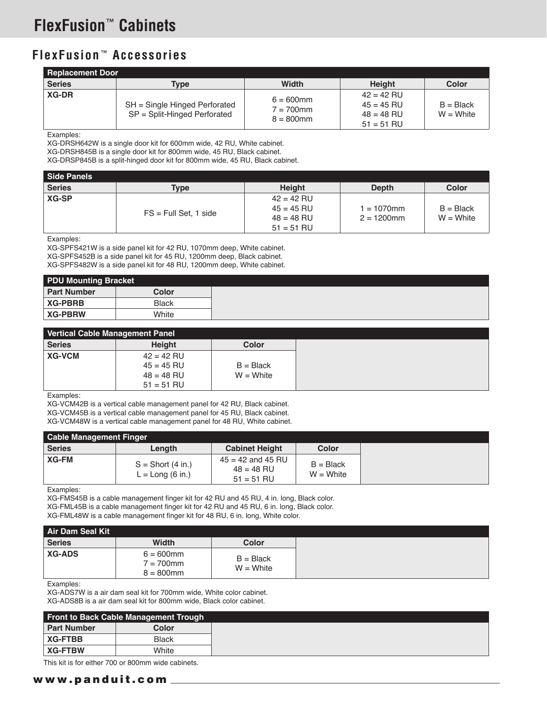### **FlexFusion** ™ **Accessories**

| <b>Replacement Door</b> |                                                               |                                              |                                                              |                            |
|-------------------------|---------------------------------------------------------------|----------------------------------------------|--------------------------------------------------------------|----------------------------|
| <b>Series</b>           | Type                                                          | <b>Width</b>                                 | <b>Height</b>                                                | Color                      |
| <b>XG-DR</b>            | SH = Single Hinged Perforated<br>SP = Split-Hinged Perforated | $6 = 600$ mm<br>$7 = 700$ mm<br>$8 = 800$ mm | $42 = 42$ RU<br>$45 = 45$ RU<br>$48 = 48$ RU<br>$51 = 51$ RU | $B = Black$<br>$W = White$ |

Examples:

XG-DRSH642W is a single door kit for 600mm wide, 42 RU, White cabinet.

XG-DRSH845B is a single door kit for 800mm wide, 45 RU, Black cabinet.

XG-DRSP845B is a split-hinged door kit for 800mm wide, 45 RU, Black cabinet.

| Side Panels   |                         |               |               |              |
|---------------|-------------------------|---------------|---------------|--------------|
| <b>Series</b> | <b>Type</b>             | <b>Height</b> | <b>Depth</b>  | <b>Color</b> |
| XG-SP         |                         | $42 = 42$ RU  |               |              |
|               |                         | $45 = 45$ RU  | $1 = 1070$ mm | $B = Black$  |
|               | $FS = Full Set, 1 side$ | $48 = 48$ RU  | $2 = 1200$ mm | $W = White$  |
|               |                         | $51 = 51$ RU  |               |              |

Examples:

XG-SPFS421W is a side panel kit for 42 RU, 1070mm deep, White cabinet. XG-SPFS452B is a side panel kit for 45 RU, 1200mm deep, Black cabinet. XG-SPFS482W is a side panel kit for 48 RU, 1200mm deep, White cabinet.

| <b>PDU Mounting Bracket</b> |              |
|-----------------------------|--------------|
| <b>Part Number</b>          | Color        |
| <b>XG-PBRB</b>              | <b>Black</b> |
| <b>XG-PBRW</b>              | White        |

| Vertical Cable Management Panel |               |             |
|---------------------------------|---------------|-------------|
| Series                          | <b>Height</b> | Color       |
| <b>XG-VCM</b>                   | $42 = 42$ RU  |             |
|                                 | $45 = 45$ RU  | $B = Black$ |
|                                 | $48 = 48$ RU  | $W = White$ |
|                                 | $51 = 51$ RU  |             |

Examples:

XG-VCM42B is a vertical cable management panel for 42 RU, Black cabinet. XG-VCM45B is a vertical cable management panel for 45 RU, Black cabinet.

XG-VCM48W is a vertical cable management panel for 48 RU, White cabinet.

| <b>Cable Management Finger</b> |                                           |                                                       |                            |  |
|--------------------------------|-------------------------------------------|-------------------------------------------------------|----------------------------|--|
| Series                         | Length                                    | <b>Cabinet Height</b>                                 | Color                      |  |
| XG-FM                          | $S =$ Short (4 in.)<br>$L = Long (6 in.)$ | $45 = 42$ and $45$ RU<br>$48 = 48$ RU<br>$51 = 51$ RU | $B = Black$<br>$W = White$ |  |

Examples:

XG-FMS45B is a cable management finger kit for 42 RU and 45 RU, 4 in. long, Black color. XG-FML45B is a cable management finger kit for 42 RU and 45 RU, 6 in. long, Black color. XG-FML48W is a cable management finger kit for 48 RU, 6 in. long, White color.

Examples:

XG-ADS7W is a air dam seal kit for 700mm wide, White color cabinet. XG-ADS8B is a air dam seal kit for 800mm wide, Black color cabinet.

|                    | Front to Back Cable Management Trough |
|--------------------|---------------------------------------|
| <b>Part Number</b> | Color                                 |
| <b>XG-FTBB</b>     | <b>Black</b>                          |
| <b>XG-FTBW</b>     | White                                 |

This kit is for either 700 or 800mm wide cabinets.